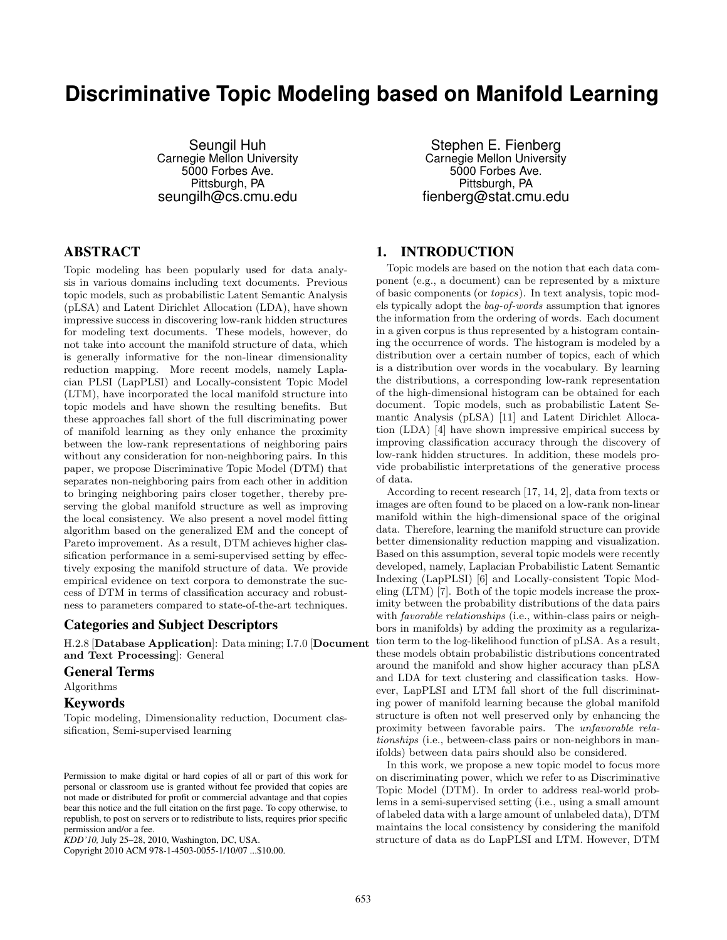# **Discriminative Topic Modeling based on Manifold Learning**

Seungil Huh Carnegie Mellon University 5000 Forbes Ave. Pittsburgh, PA seungilh@cs.cmu.edu

# **ABSTRACT**

Topic modeling has been popularly used for data analysis in various domains including text documents. Previous topic models, such as probabilistic Latent Semantic Analysis (pLSA) and Latent Dirichlet Allocation (LDA), have shown impressive success in discovering low-rank hidden structures for modeling text documents. These models, however, do not take into account the manifold structure of data, which is generally informative for the non-linear dimensionality reduction mapping. More recent models, namely Laplacian PLSI (LapPLSI) and Locally-consistent Topic Model (LTM), have incorporated the local manifold structure into topic models and have shown the resulting benefits. But these approaches fall short of the full discriminating power of manifold learning as they only enhance the proximity between the low-rank representations of neighboring pairs without any consideration for non-neighboring pairs. In this paper, we propose Discriminative Topic Model (DTM) that separates non-neighboring pairs from each other in addition to bringing neighboring pairs closer together, thereby preserving the global manifold structure as well as improving the local consistency. We also present a novel model fitting algorithm based on the generalized EM and the concept of Pareto improvement. As a result, DTM achieves higher classification performance in a semi-supervised setting by effectively exposing the manifold structure of data. We provide empirical evidence on text corpora to demonstrate the success of DTM in terms of classification accuracy and robustness to parameters compared to state-of-the-art techniques.

# **Categories and Subject Descriptors**

H.2.8 [Database Application]: Data mining; I.7.0 [Document and Text Processing]: General

## **General Terms**

Algorithms

## **Keywords**

Topic modeling, Dimensionality reduction, Document classification, Semi-supervised learning

Copyright 2010 ACM 978-1-4503-0055-1/10/07 ...\$10.00.

Stephen E. Fienberg Carnegie Mellon University 5000 Forbes Ave. Pittsburgh, PA fienberg@stat.cmu.edu

# **1. INTRODUCTION**

Topic models are based on the notion that each data component (e.g., a document) can be represented by a mixture of basic components (or topics). In text analysis, topic models typically adopt the bag-of-words assumption that ignores the information from the ordering of words. Each document in a given corpus is thus represented by a histogram containing the occurrence of words. The histogram is modeled by a distribution over a certain number of topics, each of which is a distribution over words in the vocabulary. By learning the distributions, a corresponding low-rank representation of the high-dimensional histogram can be obtained for each document. Topic models, such as probabilistic Latent Semantic Analysis (pLSA) [11] and Latent Dirichlet Allocation (LDA) [4] have shown impressive empirical success by improving classification accuracy through the discovery of low-rank hidden structures. In addition, these models provide probabilistic interpretations of the generative process of data.

According to recent research [17, 14, 2], data from texts or images are often found to be placed on a low-rank non-linear manifold within the high-dimensional space of the original data. Therefore, learning the manifold structure can provide better dimensionality reduction mapping and visualization. Based on this assumption, several topic models were recently developed, namely, Laplacian Probabilistic Latent Semantic Indexing (LapPLSI) [6] and Locally-consistent Topic Modeling (LTM) [7]. Both of the topic models increase the proximity between the probability distributions of the data pairs with *favorable relationships* (i.e., within-class pairs or neighbors in manifolds) by adding the proximity as a regularization term to the log-likelihood function of pLSA. As a result, these models obtain probabilistic distributions concentrated around the manifold and show higher accuracy than pLSA and LDA for text clustering and classification tasks. However, LapPLSI and LTM fall short of the full discriminating power of manifold learning because the global manifold structure is often not well preserved only by enhancing the proximity between favorable pairs. The unfavorable relationships (i.e., between-class pairs or non-neighbors in manifolds) between data pairs should also be considered.

In this work, we propose a new topic model to focus more on discriminating power, which we refer to as Discriminative Topic Model (DTM). In order to address real-world problems in a semi-supervised setting (i.e., using a small amount of labeled data with a large amount of unlabeled data), DTM maintains the local consistency by considering the manifold structure of data as do LapPLSI and LTM. However, DTM

Permission to make digital or hard copies of all or part of this work for personal or classroom use is granted without fee provided that copies are not made or distributed for profit or commercial advantage and that copies bear this notice and the full citation on the first page. To copy otherwise, to republish, to post on servers or to redistribute to lists, requires prior specific permission and/or a fee.

*KDD'10,* July 25–28, 2010, Washington, DC, USA.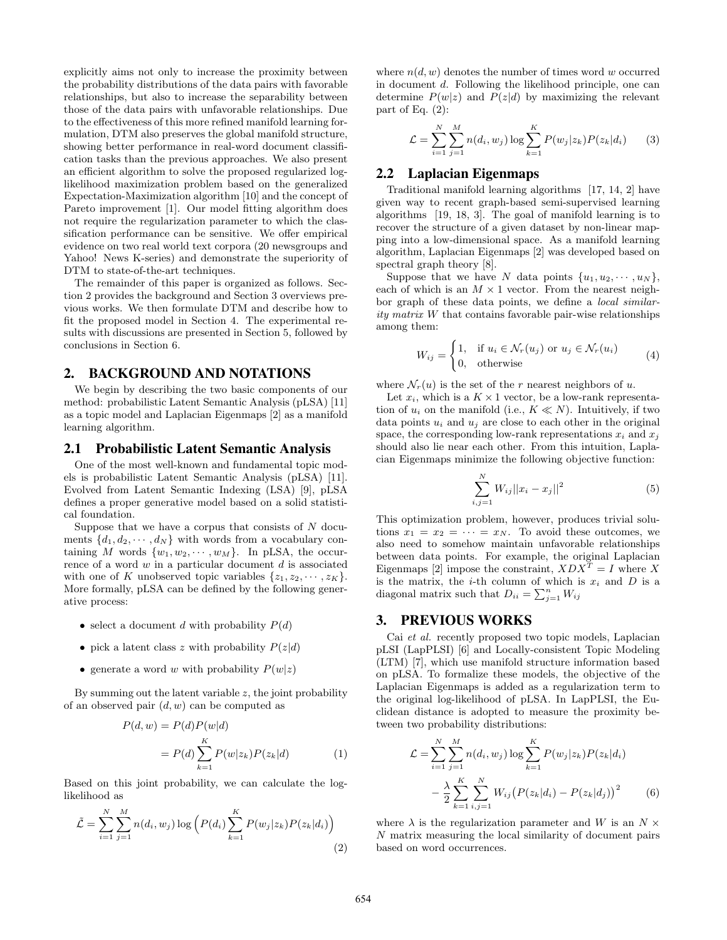explicitly aims not only to increase the proximity between the probability distributions of the data pairs with favorable relationships, but also to increase the separability between those of the data pairs with unfavorable relationships. Due to the effectiveness of this more refined manifold learning formulation, DTM also preserves the global manifold structure, showing better performance in real-word document classification tasks than the previous approaches. We also present an efficient algorithm to solve the proposed regularized loglikelihood maximization problem based on the generalized Expectation-Maximization algorithm [10] and the concept of Pareto improvement [1]. Our model fitting algorithm does not require the regularization parameter to which the classification performance can be sensitive. We offer empirical evidence on two real world text corpora (20 newsgroups and Yahoo! News K-series) and demonstrate the superiority of DTM to state-of-the-art techniques.

The remainder of this paper is organized as follows. Section 2 provides the background and Section 3 overviews previous works. We then formulate DTM and describe how to fit the proposed model in Section 4. The experimental results with discussions are presented in Section 5, followed by conclusions in Section 6.

# **2. BACKGROUND AND NOTATIONS**

We begin by describing the two basic components of our method: probabilistic Latent Semantic Analysis (pLSA) [11] as a topic model and Laplacian Eigenmaps [2] as a manifold learning algorithm.

## **2.1 Probabilistic Latent Semantic Analysis**

One of the most well-known and fundamental topic models is probabilistic Latent Semantic Analysis (pLSA) [11]. Evolved from Latent Semantic Indexing (LSA) [9], pLSA defines a proper generative model based on a solid statistical foundation.

Suppose that we have a corpus that consists of  $N$  documents  $\{d_1, d_2, \cdots, d_N\}$  with words from a vocabulary containing M words  $\{w_1, w_2, \cdots, w_M\}$ . In pLSA, the occurrence of a word  $w$  in a particular document  $d$  is associated with one of K unobserved topic variables  $\{z_1, z_2, \dots, z_K\}$ . More formally, pLSA can be defined by the following generative process:

- select a document d with probability  $P(d)$
- pick a latent class z with probability  $P(z|d)$
- generate a word w with probability  $P(w|z)$

By summing out the latent variable  $z$ , the joint probability of an observed pair  $(d, w)$  can be computed as

$$
P(d, w) = P(d)P(w|d)
$$

$$
= P(d) \sum_{k=1}^{K} P(w|z_k)P(z_k|d)
$$
(1)

Based on this joint probability, we can calculate the loglikelihood as

$$
\tilde{\mathcal{L}} = \sum_{i=1}^{N} \sum_{j=1}^{M} n(d_i, w_j) \log \left( P(d_i) \sum_{k=1}^{K} P(w_j | z_k) P(z_k | d_i) \right)
$$
\n(2)

where  $n(d, w)$  denotes the number of times word w occurred in document d. Following the likelihood principle, one can determine  $P(w|z)$  and  $P(z|d)$  by maximizing the relevant part of Eq.  $(2)$ :

$$
\mathcal{L} = \sum_{i=1}^{N} \sum_{j=1}^{M} n(d_i, w_j) \log \sum_{k=1}^{K} P(w_j | z_k) P(z_k | d_i)
$$
(3)

## **2.2 Laplacian Eigenmaps**

Traditional manifold learning algorithms [17, 14, 2] have given way to recent graph-based semi-supervised learning algorithms [19, 18, 3]. The goal of manifold learning is to recover the structure of a given dataset by non-linear mapping into a low-dimensional space. As a manifold learning algorithm, Laplacian Eigenmaps [2] was developed based on spectral graph theory [8].

Suppose that we have N data points  $\{u_1, u_2, \cdots, u_N\},\$ each of which is an  $M \times 1$  vector. From the nearest neighbor graph of these data points, we define a local similarity matrix W that contains favorable pair-wise relationships among them:

$$
W_{ij} = \begin{cases} 1, & \text{if } u_i \in \mathcal{N}_r(u_j) \text{ or } u_j \in \mathcal{N}_r(u_i) \\ 0, & \text{otherwise} \end{cases} \tag{4}
$$

where  $\mathcal{N}_r(u)$  is the set of the r nearest neighbors of u.

Let  $x_i$ , which is a  $K \times 1$  vector, be a low-rank representation of  $u_i$  on the manifold (i.e.,  $K \ll N$ ). Intuitively, if two data points  $u_i$  and  $u_j$  are close to each other in the original space, the corresponding low-rank representations  $x_i$  and  $x_j$ should also lie near each other. From this intuition, Laplacian Eigenmaps minimize the following objective function:

$$
\sum_{i,j=1}^{N} W_{ij} ||x_i - x_j||^2 \tag{5}
$$

This optimization problem, however, produces trivial solutions  $x_1 = x_2 = \cdots = x_N$ . To avoid these outcomes, we also need to somehow maintain unfavorable relationships between data points. For example, the original Laplacian Eigenmaps [2] impose the constraint,  $XDX^{T} = I$  where X is the matrix, the *i*-th column of which is  $x_i$  and D is a diagonal matrix such that  $D_{ii} = \sum_{j=1}^{n} W_{ij}$ 

## **3. PREVIOUS WORKS**

Cai et al. recently proposed two topic models, Laplacian pLSI (LapPLSI) [6] and Locally-consistent Topic Modeling (LTM) [7], which use manifold structure information based on pLSA. To formalize these models, the objective of the Laplacian Eigenmaps is added as a regularization term to the original log-likelihood of pLSA. In LapPLSI, the Euclidean distance is adopted to measure the proximity between two probability distributions:

$$
\mathcal{L} = \sum_{i=1}^{N} \sum_{j=1}^{M} n(d_i, w_j) \log \sum_{k=1}^{K} P(w_j | z_k) P(z_k | d_i) \n- \frac{\lambda}{2} \sum_{k=1}^{K} \sum_{i,j=1}^{N} W_{ij} (P(z_k | d_i) - P(z_k | d_j))^2
$$
\n(6)

where  $\lambda$  is the regularization parameter and W is an  $N \times$ N matrix measuring the local similarity of document pairs based on word occurrences.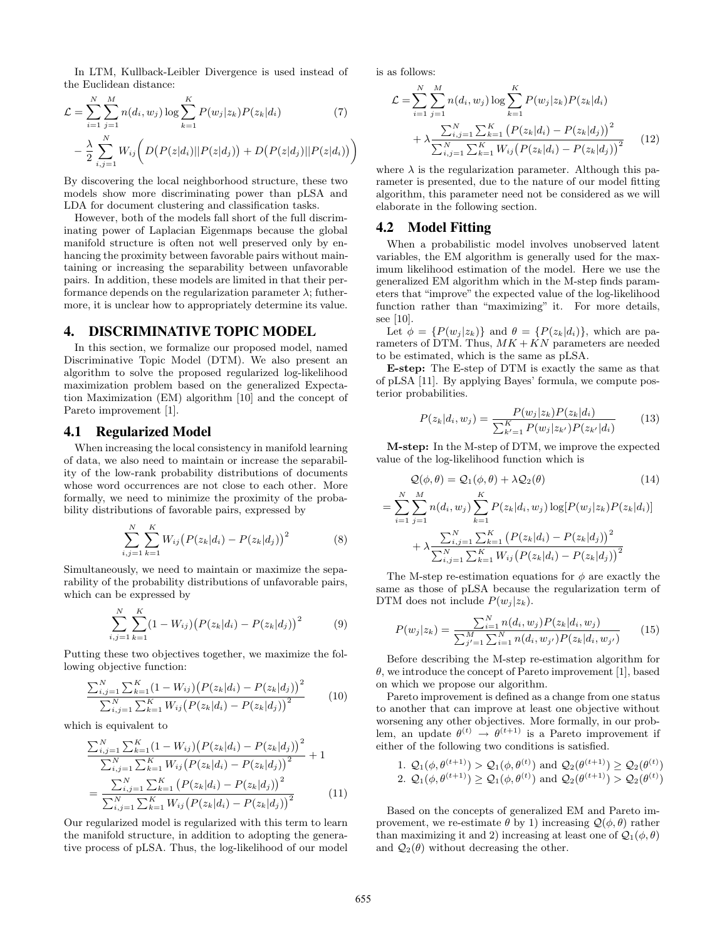In LTM, Kullback-Leibler Divergence is used instead of the Euclidean distance:

$$
\mathcal{L} = \sum_{i=1}^{N} \sum_{j=1}^{M} n(d_i, w_j) \log \sum_{k=1}^{K} P(w_j | z_k) P(z_k | d_i)
$$
(7)  

$$
- \frac{\lambda}{2} \sum_{i,j=1}^{N} W_{ij} \bigg( D(P(z|d_i) || P(z|d_j)) + D(P(z|d_j) || P(z|d_i)) \bigg)
$$

By discovering the local neighborhood structure, these two models show more discriminating power than pLSA and LDA for document clustering and classification tasks.

However, both of the models fall short of the full discriminating power of Laplacian Eigenmaps because the global manifold structure is often not well preserved only by enhancing the proximity between favorable pairs without maintaining or increasing the separability between unfavorable pairs. In addition, these models are limited in that their performance depends on the regularization parameter  $\lambda$ ; futhermore, it is unclear how to appropriately determine its value.

## **4. DISCRIMINATIVE TOPIC MODEL**

In this section, we formalize our proposed model, named Discriminative Topic Model (DTM). We also present an algorithm to solve the proposed regularized log-likelihood maximization problem based on the generalized Expectation Maximization (EM) algorithm [10] and the concept of Pareto improvement [1].

## **4.1 Regularized Model**

When increasing the local consistency in manifold learning of data, we also need to maintain or increase the separability of the low-rank probability distributions of documents whose word occurrences are not close to each other. More formally, we need to minimize the proximity of the probability distributions of favorable pairs, expressed by

$$
\sum_{i,j=1}^{N} \sum_{k=1}^{K} W_{ij} (P(z_k|d_i) - P(z_k|d_j))^2
$$
 (8)

Simultaneously, we need to maintain or maximize the separability of the probability distributions of unfavorable pairs, which can be expressed by

$$
\sum_{i,j=1}^{N} \sum_{k=1}^{K} (1 - W_{ij}) (P(z_k|d_i) - P(z_k|d_j))^2 \tag{9}
$$

Putting these two objectives together, we maximize the following objective function:

$$
\frac{\sum_{i,j=1}^{N} \sum_{k=1}^{K} (1 - W_{ij}) (P(z_k|d_i) - P(z_k|d_j))^2}{\sum_{i,j=1}^{N} \sum_{k=1}^{K} W_{ij} (P(z_k|d_i) - P(z_k|d_j))^2}
$$
(10)

which is equivalent to

$$
\frac{\sum_{i,j=1}^{N} \sum_{k=1}^{K} (1 - W_{ij}) (P(z_k|d_i) - P(z_k|d_j))^2}{\sum_{i,j=1}^{N} \sum_{k=1}^{K} W_{ij} (P(z_k|d_i) - P(z_k|d_j))^2} + 1
$$
\n
$$
= \frac{\sum_{i,j=1}^{N} \sum_{k=1}^{K} (P(z_k|d_i) - P(z_k|d_j))^2}{\sum_{i,j=1}^{N} \sum_{k=1}^{K} W_{ij} (P(z_k|d_i) - P(z_k|d_j))^2}
$$
(11)

Our regularized model is regularized with this term to learn the manifold structure, in addition to adopting the generative process of pLSA. Thus, the log-likelihood of our model

is as follows:

$$
\mathcal{L} = \sum_{i=1}^{N} \sum_{j=1}^{M} n(d_i, w_j) \log \sum_{k=1}^{K} P(w_j | z_k) P(z_k | d_i) + \lambda \frac{\sum_{i,j=1}^{N} \sum_{k=1}^{K} (P(z_k | d_i) - P(z_k | d_j))^2}{\sum_{i,j=1}^{N} \sum_{k=1}^{K} W_{ij} (P(z_k | d_i) - P(z_k | d_j))^2}
$$
(12)

where  $\lambda$  is the regularization parameter. Although this parameter is presented, due to the nature of our model fitting algorithm, this parameter need not be considered as we will elaborate in the following section.

## **4.2 Model Fitting**

When a probabilistic model involves unobserved latent variables, the EM algorithm is generally used for the maximum likelihood estimation of the model. Here we use the generalized EM algorithm which in the M-step finds parameters that "improve" the expected value of the log-likelihood function rather than "maximizing" it. For more details, see [10].

Let  $\phi = \{P(w_i | z_k)\}\$ and  $\theta = \{P(z_k | d_i)\}\$ , which are parameters of DTM. Thus,  $MK + KN$  parameters are needed to be estimated, which is the same as pLSA.

E-step: The E-step of DTM is exactly the same as that of pLSA [11]. By applying Bayes' formula, we compute posterior probabilities.

$$
P(z_k|d_i, w_j) = \frac{P(w_j|z_k)P(z_k|d_i)}{\sum_{k'=1}^{K} P(w_j|z_{k'})P(z_{k'}|d_i)}
$$
(13)

M-step: In the M-step of DTM, we improve the expected value of the log-likelihood function which is

$$
Q(\phi, \theta) = Q_1(\phi, \theta) + \lambda Q_2(\theta)
$$
(14)  
= 
$$
\sum_{i=1}^{N} \sum_{j=1}^{M} n(d_i, w_j) \sum_{k=1}^{K} P(z_k | d_i, w_j) \log [P(w_j | z_k) P(z_k | d_i)]
$$
  
+ 
$$
\lambda \frac{\sum_{i,j=1}^{N} \sum_{k=1}^{K} (P(z_k | d_i) - P(z_k | d_j))^2}{\sum_{i,j=1}^{N} \sum_{k=1}^{K} W_{ij} (P(z_k | d_i) - P(z_k | d_j))^2}
$$

The M-step re-estimation equations for  $\phi$  are exactly the same as those of pLSA because the regularization term of DTM does not include  $P(w_i | z_k)$ .

$$
P(w_j|z_k) = \frac{\sum_{i=1}^{N} n(d_i, w_j) P(z_k|d_i, w_j)}{\sum_{j'=1}^{M} \sum_{i=1}^{N} n(d_i, w_{j'}) P(z_k|d_i, w_{j'})}
$$
(15)

Before describing the M-step re-estimation algorithm for  $\theta$ , we introduce the concept of Pareto improvement [1], based on which we propose our algorithm.

Pareto improvement is defined as a change from one status to another that can improve at least one objective without worsening any other objectives. More formally, in our problem, an update  $\theta^{(t)} \to \theta^{(t+1)}$  is a Pareto improvement if either of the following two conditions is satisfied.

1. 
$$
Q_1(\phi, \theta^{(t+1)}) > Q_1(\phi, \theta^{(t)})
$$
 and  $Q_2(\theta^{(t+1)}) \ge Q_2(\theta^{(t)})$   
2.  $Q_1(\phi, \theta^{(t+1)}) \ge Q_1(\phi, \theta^{(t)})$  and  $Q_2(\theta^{(t+1)}) > Q_2(\theta^{(t)})$ 

Based on the concepts of generalized EM and Pareto improvement, we re-estimate  $\theta$  by 1) increasing  $\mathcal{Q}(\phi,\theta)$  rather than maximizing it and 2) increasing at least one of  $\mathcal{Q}_1(\phi,\theta)$ and  $Q_2(\theta)$  without decreasing the other.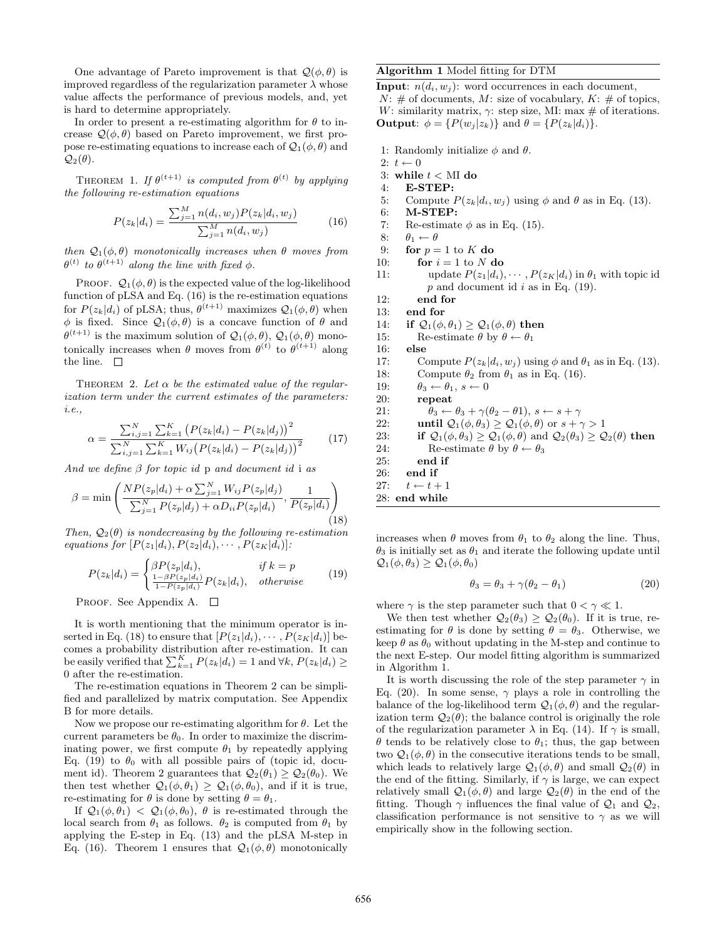One advantage of Pareto improvement is that  $\mathcal{Q}(\phi,\theta)$  is improved regardless of the regularization parameter  $\lambda$  whose value affects the performance of previous models, and, yet is hard to determine appropriately.

In order to present a re-estimating algorithm for  $\theta$  to increase  $\mathcal{Q}(\phi,\theta)$  based on Pareto improvement, we first propose re-estimating equations to increase each of  $\mathcal{Q}_1(\phi,\theta)$  and  $\mathcal{Q}_2(\theta)$ .

THEOREM 1. If  $\theta^{(t+1)}$  is computed from  $\theta^{(t)}$  by applying the following re-estimation equations

$$
P(z_k|d_i) = \frac{\sum_{j=1}^{M} n(d_i, w_j) P(z_k|d_i, w_j)}{\sum_{j=1}^{M} n(d_i, w_j)}
$$
(16)

then  $Q_1(\phi, \theta)$  monotonically increases when  $\theta$  moves from  $\theta^{(t)}$  to  $\theta^{(t+1)}$  along the line with fixed  $\phi$ .

PROOF.  $\mathcal{Q}_1(\phi,\theta)$  is the expected value of the log-likelihood function of pLSA and Eq. (16) is the re-estimation equations for  $P(z_k|d_i)$  of pLSA; thus,  $\theta^{(t+1)}$  maximizes  $\mathcal{Q}_1(\phi,\theta)$  when  $\phi$  is fixed. Since  $\mathcal{Q}_1(\phi,\theta)$  is a concave function of  $\theta$  and  $\theta^{(t+1)}$  is the maximum solution of  $\mathcal{Q}_1(\phi,\theta)$ ,  $\mathcal{Q}_1(\phi,\theta)$  monotonically increases when  $\theta$  moves from  $\theta^{(t)}$  to  $\theta^{(t+1)}$  along the line.  $\Box$ 

THEOREM 2. Let  $\alpha$  be the estimated value of the regularization term under the current estimates of the parameters: i.e.,

$$
\alpha = \frac{\sum_{i,j=1}^{N} \sum_{k=1}^{K} (P(z_k|d_i) - P(z_k|d_j))^2}{\sum_{i,j=1}^{N} \sum_{k=1}^{K} W_{ij} (P(z_k|d_i) - P(z_k|d_j))^2}
$$
(17)

And we define  $\beta$  for topic id p and document id i as

$$
\beta = \min\left(\frac{NP(z_p|d_i) + \alpha \sum_{j=1}^{N} W_{ij} P(z_p|d_j)}{\sum_{j=1}^{N} P(z_p|d_j) + \alpha D_{ii} P(z_p|d_i)}, \frac{1}{P(z_p|d_i)}\right)
$$
(18)

Then,  $Q_2(\theta)$  is nondecreasing by the following re-estimation equations for  $[P(z_1|d_i), P(z_2|d_i), \cdots, P(z_K|d_i)]$ :

$$
P(z_k|d_i) = \begin{cases} \beta P(z_p|d_i), & \text{if } k = p\\ \frac{1 - \beta P(z_p|d_i)}{1 - P(z_p|d_i)} P(z_k|d_i), & \text{otherwise} \end{cases}
$$
(19)

PROOF. See Appendix A.  $\square$ 

It is worth mentioning that the minimum operator is inserted in Eq. (18) to ensure that  $[P(z_1|d_i), \cdots, P(z_K|d_i)]$  becomes a probability distribution after re-estimation. It can be easily verified that  $\sum_{k=1}^{K} P(z_k|d_i) = 1$  and  $\forall k, P(z_k|d_i) \ge$ 0 after the re-estimation.

The re-estimation equations in Theorem 2 can be simplified and parallelized by matrix computation. See Appendix B for more details.

Now we propose our re-estimating algorithm for  $\theta$ . Let the current parameters be  $\theta_0$ . In order to maximize the discriminating power, we first compute  $\theta_1$  by repeatedly applying Eq. (19) to  $\theta_0$  with all possible pairs of (topic id, document id). Theorem 2 guarantees that  $Q_2(\theta_1) \geq Q_2(\theta_0)$ . We then test whether  $Q_1(\phi, \theta_1) \geq Q_1(\phi, \theta_0)$ , and if it is true, re-estimating for  $\theta$  is done by setting  $\theta = \theta_1$ .

If  $\mathcal{Q}_1(\phi,\theta_1) < \mathcal{Q}_1(\phi,\theta_0)$ ,  $\theta$  is re-estimated through the local search from  $\theta_1$  as follows.  $\theta_2$  is computed from  $\theta_1$  by applying the E-step in Eq. (13) and the pLSA M-step in Eq. (16). Theorem 1 ensures that  $\mathcal{Q}_1(\phi,\theta)$  monotonically

#### Algorithm 1 Model fitting for DTM

**Input:**  $n(d_i, w_i)$ : word occurrences in each document,  $N: \#$  of documents, M: size of vocabulary,  $K: \#$  of topics, W: similarity matrix,  $\gamma$ : step size, MI: max  $\#$  of iterations. **Output:**  $\phi = \{P(w_j | z_k)\}\$ and  $\theta = \{P(z_k | d_i)\}\$ .

1: Randomly initialize  $\phi$  and  $\theta$ .

- 2:  $t \leftarrow 0$
- 3: while  $t <$  MI do
- 4: E-STEP:
- 5: Compute  $P(z_k|d_i, w_j)$  using  $\phi$  and  $\theta$  as in Eq. (13).
- 6: M-STEP:
- 7: Re-estimate  $\phi$  as in Eq. (15).
- 8:  $\theta_1 \leftarrow \theta$
- 9: for  $p = 1$  to K do

10: **for**  $i = 1$  to N do

- 11: update  $P(z_1|d_i), \cdots, P(z_k|d_i)$  in  $\theta_1$  with topic id  $p$  and document id i as in Eq. (19).
- 12: end for<br>13: end for
- end for
- 14: if  $Q_1(\phi, \theta_1) \geq Q_1(\phi, \theta)$  then
- 15: Re-estimate  $\theta$  by  $\theta \leftarrow \theta_1$
- 16: else 17: Compute  $P(z_k|d_i, w_j)$  using  $\phi$  and  $\theta_1$  as in Eq. (13).
- 18: Compute  $\theta_2$  from  $\theta_1$  as in Eq. (16).
- 19:  $\theta_3 \leftarrow \theta_1, s \leftarrow 0$
- 20: repeat
- 21:  $\theta_3 \leftarrow \theta_3 + \gamma(\theta_2 \theta_1), s \leftarrow s + \gamma$ <br>22: **until**  $Q_1(\phi, \theta_3) > Q_1(\phi, \theta)$  or  $s + \gamma$
- 22: until  $Q_1(\phi, \theta_3) \geq Q_1(\phi, \theta)$  or  $s + \gamma > 1$ <br>23: if  $Q_1(\phi, \theta_3) > Q_1(\phi, \theta)$  and  $Q_2(\theta_3) > Q_2(\theta_3)$
- 23: **if**  $Q_1(\phi, \theta_3) \geq Q_1(\phi, \theta)$  and  $Q_2(\theta_3) \geq Q_2(\theta)$  then <br>24: Re-estimate  $\theta$  by  $\theta \leftarrow \theta_3$ 
	- Re-estimate  $\theta$  by  $\theta \leftarrow \theta_3$

25: end if

- 26: end if
- 27:  $t \leftarrow t + 1$
- 28: end while

increases when  $\theta$  moves from  $\theta_1$  to  $\theta_2$  along the line. Thus,  $\theta_3$  is initially set as  $\theta_1$  and iterate the following update until  $\mathcal{Q}_1(\phi,\theta_3) \geq \mathcal{Q}_1(\phi,\theta_0)$ 

$$
\theta_3 = \theta_3 + \gamma(\theta_2 - \theta_1) \tag{20}
$$

where  $\gamma$  is the step parameter such that  $0 < \gamma \ll 1$ .

We then test whether  $Q_2(\theta_3) \geq Q_2(\theta_0)$ . If it is true, reestimating for  $\theta$  is done by setting  $\theta = \theta_3$ . Otherwise, we keep  $\theta$  as  $\theta_0$  without updating in the M-step and continue to the next E-step. Our model fitting algorithm is summarized in Algorithm 1.

It is worth discussing the role of the step parameter  $\gamma$  in Eq. (20). In some sense,  $\gamma$  plays a role in controlling the balance of the log-likelihood term  $Q_1(\phi, \theta)$  and the regularization term  $\mathcal{Q}_2(\theta)$ ; the balance control is originally the role of the regularization parameter  $\lambda$  in Eq. (14). If  $\gamma$  is small,  $\theta$  tends to be relatively close to  $\theta_1$ ; thus, the gap between two  $\mathcal{Q}_1(\phi,\theta)$  in the consecutive iterations tends to be small, which leads to relatively large  $\mathcal{Q}_1(\phi,\theta)$  and small  $\mathcal{Q}_2(\theta)$  in the end of the fitting. Similarly, if  $\gamma$  is large, we can expect relatively small  $\mathcal{Q}_1(\phi,\theta)$  and large  $\mathcal{Q}_2(\theta)$  in the end of the fitting. Though  $\gamma$  influences the final value of  $\mathcal{Q}_1$  and  $\mathcal{Q}_2$ , classification performance is not sensitive to  $\gamma$  as we will empirically show in the following section.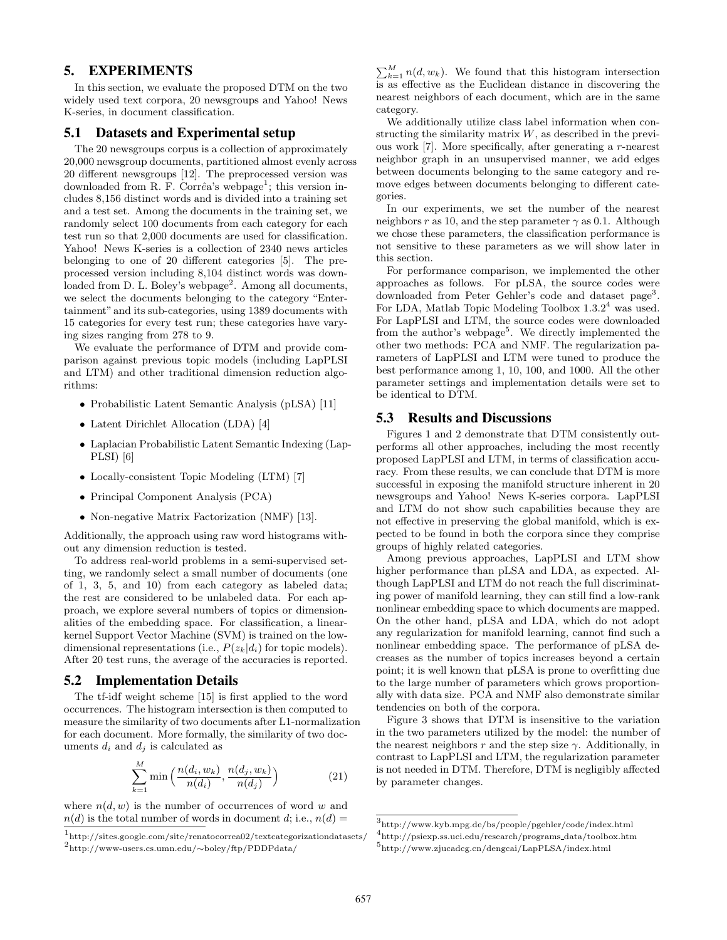# **5. EXPERIMENTS**

In this section, we evaluate the proposed DTM on the two widely used text corpora, 20 newsgroups and Yahoo! News K-series, in document classification.

## **5.1 Datasets and Experimental setup**

The 20 newsgroups corpus is a collection of approximately 20,000 newsgroup documents, partitioned almost evenly across 20 different newsgroups [12]. The preprocessed version was downloaded from R. F. Corrêa's webpage<sup>1</sup>; this version includes 8,156 distinct words and is divided into a training set and a test set. Among the documents in the training set, we randomly select 100 documents from each category for each test run so that 2,000 documents are used for classification. Yahoo! News K-series is a collection of 2340 news articles belonging to one of 20 different categories [5]. The preprocessed version including 8,104 distinct words was downloaded from D. L. Boley's webpage<sup>2</sup>. Among all documents, we select the documents belonging to the category "Entertainment" and its sub-categories, using 1389 documents with 15 categories for every test run; these categories have varying sizes ranging from 278 to 9.

We evaluate the performance of DTM and provide comparison against previous topic models (including LapPLSI and LTM) and other traditional dimension reduction algorithms:

- Probabilistic Latent Semantic Analysis (pLSA) [11]
- Latent Dirichlet Allocation (LDA) [4]
- Laplacian Probabilistic Latent Semantic Indexing (Lap-PLSI) [6]
- Locally-consistent Topic Modeling (LTM) [7]
- Principal Component Analysis (PCA)
- Non-negative Matrix Factorization (NMF) [13].

Additionally, the approach using raw word histograms without any dimension reduction is tested.

To address real-world problems in a semi-supervised setting, we randomly select a small number of documents (one of 1, 3, 5, and 10) from each category as labeled data; the rest are considered to be unlabeled data. For each approach, we explore several numbers of topics or dimensionalities of the embedding space. For classification, a linearkernel Support Vector Machine (SVM) is trained on the lowdimensional representations (i.e.,  $P(z_k|d_i)$  for topic models). After 20 test runs, the average of the accuracies is reported.

#### **5.2 Implementation Details**

The tf-idf weight scheme [15] is first applied to the word occurrences. The histogram intersection is then computed to measure the similarity of two documents after L1-normalization for each document. More formally, the similarity of two documents  $d_i$  and  $d_j$  is calculated as

$$
\sum_{k=1}^{M} \min\left(\frac{n(d_i, w_k)}{n(d_i)}, \frac{n(d_j, w_k)}{n(d_j)}\right)
$$
\n(21)

where  $n(d, w)$  is the number of occurrences of word w and  $n(d)$  is the total number of words in document d; i.e.,  $n(d)$  =

 $\sum_{k=1}^{M} n(d, w_k)$ . We found that this histogram intersection is as effective as the Euclidean distance in discovering the nearest neighbors of each document, which are in the same category.

We additionally utilize class label information when constructing the similarity matrix  $W$ , as described in the previous work [7]. More specifically, after generating a r-nearest neighbor graph in an unsupervised manner, we add edges between documents belonging to the same category and remove edges between documents belonging to different categories.

In our experiments, we set the number of the nearest neighbors r as 10, and the step parameter  $\gamma$  as 0.1. Although we chose these parameters, the classification performance is not sensitive to these parameters as we will show later in this section.

For performance comparison, we implemented the other approaches as follows. For pLSA, the source codes were downloaded from Peter Gehler's code and dataset page<sup>3</sup>. For LDA, Matlab Topic Modeling Toolbox 1.3.2<sup>4</sup> was used. For LapPLSI and LTM, the source codes were downloaded from the author's webpage<sup>5</sup>. We directly implemented the other two methods: PCA and NMF. The regularization parameters of LapPLSI and LTM were tuned to produce the best performance among 1, 10, 100, and 1000. All the other parameter settings and implementation details were set to be identical to DTM.

## **5.3 Results and Discussions**

Figures 1 and 2 demonstrate that DTM consistently outperforms all other approaches, including the most recently proposed LapPLSI and LTM, in terms of classification accuracy. From these results, we can conclude that DTM is more successful in exposing the manifold structure inherent in 20 newsgroups and Yahoo! News K-series corpora. LapPLSI and LTM do not show such capabilities because they are not effective in preserving the global manifold, which is expected to be found in both the corpora since they comprise groups of highly related categories.

Among previous approaches, LapPLSI and LTM show higher performance than pLSA and LDA, as expected. Although LapPLSI and LTM do not reach the full discriminating power of manifold learning, they can still find a low-rank nonlinear embedding space to which documents are mapped. On the other hand, pLSA and LDA, which do not adopt any regularization for manifold learning, cannot find such a nonlinear embedding space. The performance of pLSA decreases as the number of topics increases beyond a certain point; it is well known that pLSA is prone to overfitting due to the large number of parameters which grows proportionally with data size. PCA and NMF also demonstrate similar tendencies on both of the corpora.

Figure 3 shows that DTM is insensitive to the variation in the two parameters utilized by the model: the number of the nearest neighbors r and the step size  $\gamma$ . Additionally, in contrast to LapPLSI and LTM, the regularization parameter is not needed in DTM. Therefore, DTM is negligibly affected by parameter changes.

<sup>1</sup> http://sites.google.com/site/renatocorrea02/textcategorizationdatasets/

<sup>2</sup> http://www-users.cs.umn.edu/∼boley/ftp/PDDPdata/

 $^3$ http://www.kyb.mpg.de/bs/people/pgehler/code/index.html

<sup>4</sup> http://psiexp.ss.uci.edu/research/programs data/toolbox.htm

<sup>5</sup> http://www.zjucadcg.cn/dengcai/LapPLSA/index.html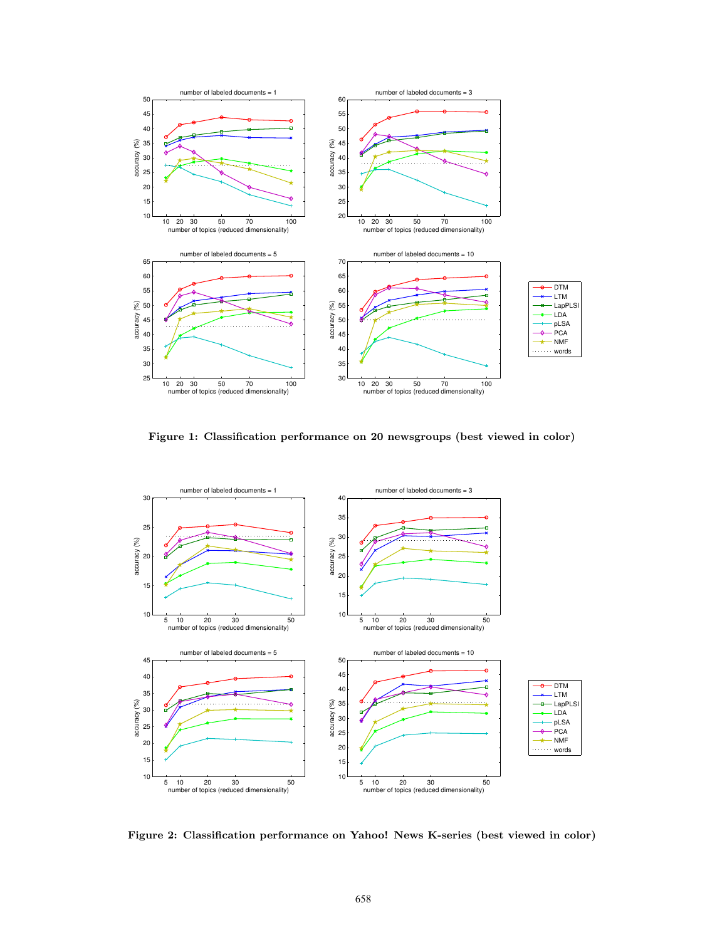

Figure 1: Classification performance on 20 newsgroups (best viewed in color)



Figure 2: Classification performance on Yahoo! News K-series (best viewed in color)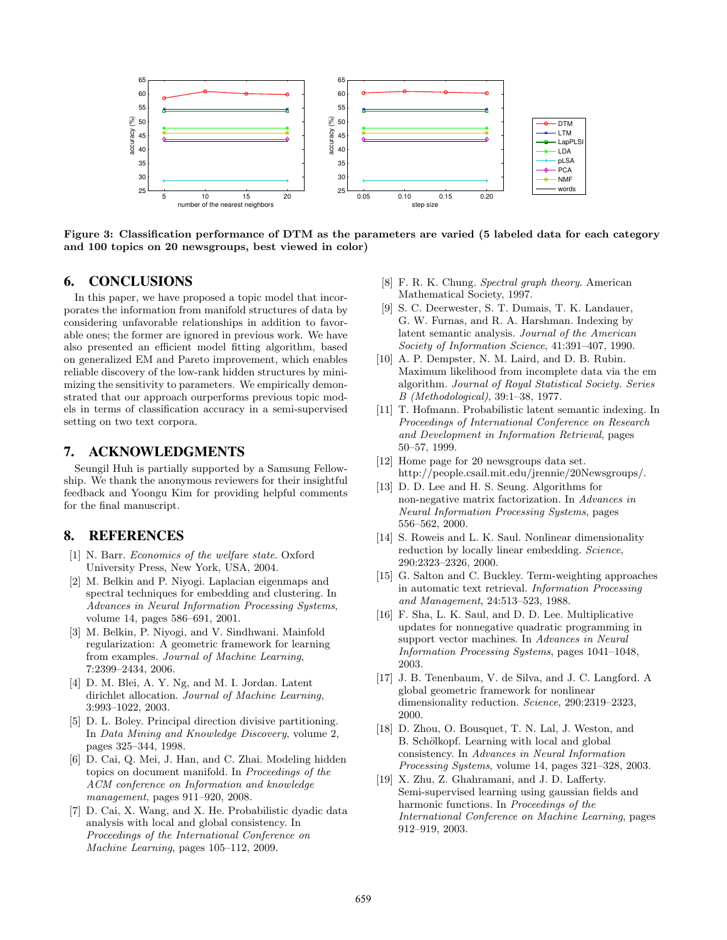

Figure 3: Classification performance of DTM as the parameters are varied (5 labeled data for each category and 100 topics on 20 newsgroups, best viewed in color)

## **6. CONCLUSIONS**

In this paper, we have proposed a topic model that incorporates the information from manifold structures of data by considering unfavorable relationships in addition to favorable ones; the former are ignored in previous work. We have also presented an efficient model fitting algorithm, based on generalized EM and Pareto improvement, which enables reliable discovery of the low-rank hidden structures by minimizing the sensitivity to parameters. We empirically demonstrated that our approach ourperforms previous topic models in terms of classification accuracy in a semi-supervised setting on two text corpora.

## **7. ACKNOWLEDGMENTS**

Seungil Huh is partially supported by a Samsung Fellowship. We thank the anonymous reviewers for their insightful feedback and Yoongu Kim for providing helpful comments for the final manuscript.

# **8. REFERENCES**

- [1] N. Barr. Economics of the welfare state. Oxford University Press, New York, USA, 2004.
- [2] M. Belkin and P. Niyogi. Laplacian eigenmaps and spectral techniques for embedding and clustering. In Advances in Neural Information Processing Systems, volume 14, pages 586–691, 2001.
- [3] M. Belkin, P. Niyogi, and V. Sindhwani. Mainfold regularization: A geometric framework for learning from examples. Journal of Machine Learning, 7:2399–2434, 2006.
- [4] D. M. Blei, A. Y. Ng, and M. I. Jordan. Latent dirichlet allocation. Journal of Machine Learning, 3:993–1022, 2003.
- [5] D. L. Boley. Principal direction divisive partitioning. In Data Mining and Knowledge Discovery, volume 2, pages 325–344, 1998.
- [6] D. Cai, Q. Mei, J. Han, and C. Zhai. Modeling hidden topics on document manifold. In Proceedings of the ACM conference on Information and knowledge management, pages 911–920, 2008.
- [7] D. Cai, X. Wang, and X. He. Probabilistic dyadic data analysis with local and global consistency. In Proceedings of the International Conference on Machine Learning, pages 105–112, 2009.
- [8] F. R. K. Chung. Spectral graph theory. American Mathematical Society, 1997.
- [9] S. C. Deerwester, S. T. Dumais, T. K. Landauer, G. W. Furnas, and R. A. Harshman. Indexing by latent semantic analysis. Journal of the American Society of Information Science, 41:391–407, 1990.
- [10] A. P. Dempster, N. M. Laird, and D. B. Rubin. Maximum likelihood from incomplete data via the em algorithm. Journal of Royal Statistical Society. Series B (Methodological), 39:1–38, 1977.
- [11] T. Hofmann. Probabilistic latent semantic indexing. In Proceedings of International Conference on Research and Development in Information Retrieval, pages 50–57, 1999.
- [12] Home page for 20 newsgroups data set. http://people.csail.mit.edu/jrennie/20Newsgroups/.
- [13] D. D. Lee and H. S. Seung. Algorithms for non-negative matrix factorization. In Advances in Neural Information Processing Systems, pages 556–562, 2000.
- [14] S. Roweis and L. K. Saul. Nonlinear dimensionality reduction by locally linear embedding. Science, 290:2323–2326, 2000.
- [15] G. Salton and C. Buckley. Term-weighting approaches in automatic text retrieval. Information Processing and Management, 24:513–523, 1988.
- [16] F. Sha, L. K. Saul, and D. D. Lee. Multiplicative updates for nonnegative quadratic programming in support vector machines. In Advances in Neural Information Processing Systems, pages 1041–1048, 2003.
- [17] J. B. Tenenbaum, V. de Silva, and J. C. Langford. A global geometric framework for nonlinear dimensionality reduction. Science, 290:2319–2323, 2000.
- [18] D. Zhou, O. Bousquet, T. N. Lal, J. Weston, and B. Schölkopf. Learning with local and global consistency. In Advances in Neural Information Processing Systems, volume 14, pages 321–328, 2003.
- [19] X. Zhu, Z. Ghahramani, and J. D. Lafferty. Semi-supervised learning using gaussian fields and harmonic functions. In Proceedings of the International Conference on Machine Learning, pages 912–919, 2003.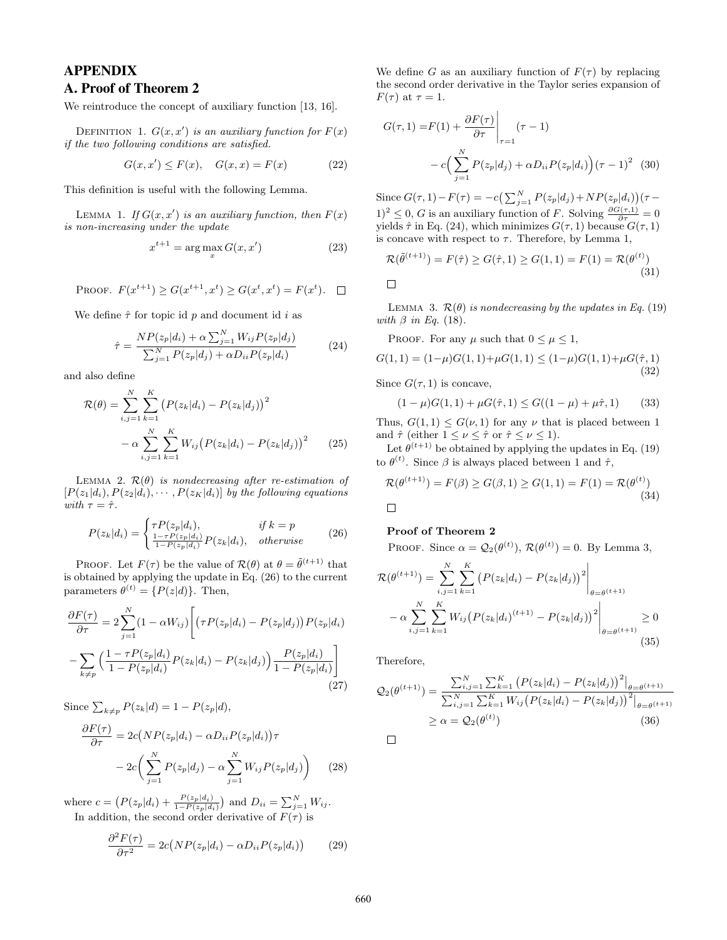# **APPENDIX A. Proof of Theorem 2**

We reintroduce the concept of auxiliary function [13, 16].

DEFINITION 1.  $G(x, x')$  is an auxiliary function for  $F(x)$ if the two following conditions are satisfied.

$$
G(x, x') \le F(x), \quad G(x, x) = F(x) \tag{22}
$$

This definition is useful with the following Lemma.

LEMMA 1. If  $G(x, x')$  is an auxiliary function, then  $F(x)$ is non-increasing under the update

$$
x^{t+1} = \arg\max_{x} G(x, x')
$$
 (23)

PROOF. 
$$
F(x^{t+1}) \ge G(x^{t+1}, x^t) \ge G(x^t, x^t) = F(x^t)
$$
.  $\square$ 

We define  $\hat{\tau}$  for topic id p and document id i as

$$
\hat{\tau} = \frac{NP(z_p|d_i) + \alpha \sum_{j=1}^{N} W_{ij} P(z_p|d_j)}{\sum_{j=1}^{N} P(z_p|d_j) + \alpha D_{ii} P(z_p|d_i)}
$$
(24)

and also define

$$
\mathcal{R}(\theta) = \sum_{i,j=1}^{N} \sum_{k=1}^{K} (P(z_k|d_i) - P(z_k|d_j))^2 - \alpha \sum_{i,j=1}^{N} \sum_{k=1}^{K} W_{ij} (P(z_k|d_i) - P(z_k|d_j))^2
$$
(25)

LEMMA 2.  $\mathcal{R}(\theta)$  is nondecreasing after re-estimation of  $[P(z_1|d_i), P(z_2|d_i), \cdots, P(z_K|d_i)]$  by the following equations with  $\tau = \hat{\tau}$ .

$$
P(z_k|d_i) = \begin{cases} \tau P(z_p|d_i), & \text{if } k = p\\ \frac{1 - \tau P(z_p|d_i)}{1 - P(z_p|d_i)} P(z_k|d_i), & \text{otherwise} \end{cases} \tag{26}
$$

PROOF. Let  $F(\tau)$  be the value of  $\mathcal{R}(\theta)$  at  $\theta = \tilde{\theta}^{(t+1)}$  that is obtained by applying the update in Eq. (26) to the current parameters  $\theta^{(t)} = \{P(z|d)\}\.$  Then,

$$
\frac{\partial F(\tau)}{\partial \tau} = 2 \sum_{j=1}^{N} (1 - \alpha W_{ij}) \left[ \left( \tau P(z_p | d_i) - P(z_p | d_j) \right) P(z_p | d_i) - \sum_{k \neq p} \left( \frac{1 - \tau P(z_p | d_i)}{1 - P(z_p | d_i)} P(z_k | d_i) - P(z_k | d_j) \right) \frac{P(z_p | d_i)}{1 - P(z_p | d_i)} \right]
$$
\n(27)

Since  $\sum_{k\neq p} P(z_k|d) = 1 - P(z_p|d),$ 

$$
\frac{\partial F(\tau)}{\partial \tau} = 2c\left(NP(z_p|d_i) - \alpha D_{ii}P(z_p|d_i)\right)\tau
$$

$$
-2c\left(\sum_{j=1}^N P(z_p|d_j) - \alpha \sum_{j=1}^N W_{ij}P(z_p|d_j)\right) \tag{28}
$$

where  $c = (P(z_p|d_i) + \frac{P(z_p|d_i)}{1 - P(z_p|d_i)})$  and  $D_{ii} = \sum_{j=1}^{N} W_{ij}$ . In addition, the second order derivative of  $F(\tau)$  is

$$
\frac{\partial^2 F(\tau)}{\partial \tau^2} = 2c\big(NP(z_p|d_i) - \alpha D_{ii}P(z_p|d_i)\big) \tag{29}
$$

We define G as an auxiliary function of  $F(\tau)$  by replacing the second order derivative in the Taylor series expansion of  $F(\tau)$  at  $\tau = 1$ .

$$
G(\tau, 1) = F(1) + \frac{\partial F(\tau)}{\partial \tau}\Big|_{\tau=1} (\tau - 1)
$$

$$
- c \Big( \sum_{j=1}^{N} P(z_p | d_j) + \alpha D_{ii} P(z_p | d_i) \Big) (\tau - 1)^2 \tag{30}
$$

Since  $G(\tau, 1) - F(\tau) = -c\left(\sum_{j=1}^{N} P(z_p|d_j) + NP(z_p|d_i)\right)(\tau (1)^2 \leq 0$ , G is an auxiliary function of F. Solving  $\frac{\partial G(\tau,1)}{\partial \tau} = 0$ yields  $\hat{\tau}$  in Eq. (24), which minimizes  $G(\tau, 1)$  because  $G(\tau, 1)$ is concave with respect to  $\tau$ . Therefore, by Lemma 1,

$$
\mathcal{R}(\tilde{\theta}^{(t+1)}) = F(\hat{\tau}) \ge G(\hat{\tau}, 1) \ge G(1, 1) = F(1) = \mathcal{R}(\theta^{(t)})
$$
\n<sup>(31)</sup>

 $\Box$ 

LEMMA 3.  $\mathcal{R}(\theta)$  is nondecreasing by the updates in Eq. (19) with  $\beta$  in Eq. (18).

PROOF. For any  $\mu$  such that  $0 \leq \mu \leq 1$ ,

$$
G(1,1) = (1-\mu)G(1,1) + \mu G(1,1) \le (1-\mu)G(1,1) + \mu G(\hat{\tau},1)
$$
\n<sup>(32)</sup>

Since  $G(\tau, 1)$  is concave,

$$
(1 - \mu)G(1, 1) + \mu G(\hat{\tau}, 1) \le G((1 - \mu) + \mu \hat{\tau}, 1)
$$
 (33)

Thus,  $G(1, 1) \leq G(\nu, 1)$  for any  $\nu$  that is placed between 1 and  $\hat{\tau}$  (either  $1 \leq \nu \leq \hat{\tau}$  or  $\hat{\tau} \leq \nu \leq 1$ ).

Let  $\theta^{(t+1)}$  be obtained by applying the updates in Eq. (19) to  $\theta^{(t)}$ . Since  $\beta$  is always placed between 1 and  $\hat{\tau}$ ,

$$
\mathcal{R}(\theta^{(t+1)}) = F(\beta) \ge G(\beta, 1) \ge G(1, 1) = F(1) = \mathcal{R}(\theta^{(t)})
$$
\n(34)

 $\Box$ 

#### Proof of Theorem 2

PROOF. Since  $\alpha = Q_2(\theta^{(t)}), \mathcal{R}(\theta^{(t)}) = 0$ . By Lemma 3,

$$
\mathcal{R}(\theta^{(t+1)}) = \sum_{i,j=1}^{N} \sum_{k=1}^{K} \left( P(z_k|d_i) - P(z_k|d_j) \right)^2 \Big|_{\theta = \theta^{(t+1)}} \n- \alpha \sum_{i,j=1}^{N} \sum_{k=1}^{K} W_{ij} \left( P(z_k|d_i)^{(t+1)} - P(z_k|d_j) \right)^2 \Big|_{\theta = \theta^{(t+1)}} \ge 0
$$
\n(35)

Therefore,

$$
\mathcal{Q}_2(\theta^{(t+1)}) = \frac{\sum_{i,j=1}^N \sum_{k=1}^K \left( P(z_k|d_i) - P(z_k|d_j) \right)^2 \Big|_{\theta = \theta^{(t+1)}}}{\sum_{i,j=1}^N \sum_{k=1}^K W_{ij} \left( P(z_k|d_i) - P(z_k|d_j) \right)^2 \Big|_{\theta = \theta^{(t+1)}}}
$$
  
\n
$$
\geq \alpha = \mathcal{Q}_2(\theta^{(t)})
$$
\n(36)

 $\Box$